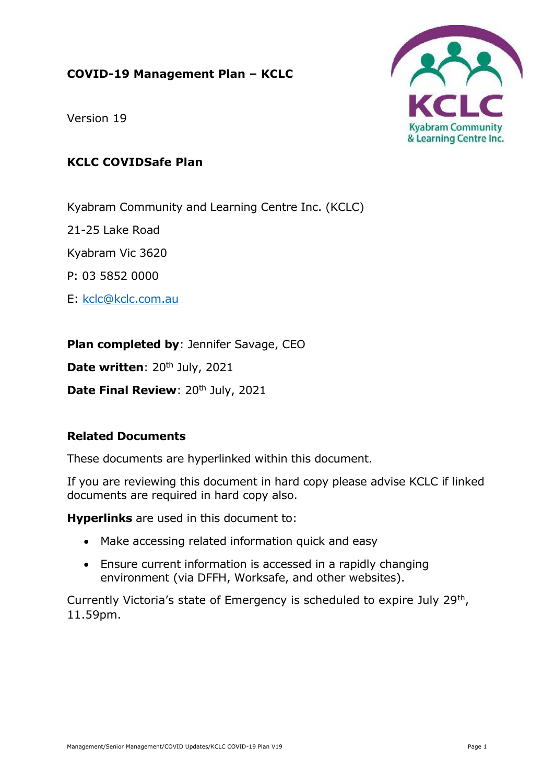## **COVID-19 Management Plan – KCLC**





# **KCLC COVIDSafe Plan**

Kyabram Community and Learning Centre Inc. (KCLC)

21-25 Lake Road

Kyabram Vic 3620

P: 03 5852 0000

E: [kclc@kclc.com.au](mailto:kclc@kclc.com.au)

**Plan completed by**: Jennifer Savage, CEO

Date written: 20<sup>th</sup> July, 2021

**Date Final Review: 20th July, 2021** 

## **Related Documents**

These documents are hyperlinked within this document.

If you are reviewing this document in hard copy please advise KCLC if linked documents are required in hard copy also.

**Hyperlinks** are used in this document to:

- Make accessing related information quick and easy
- Ensure current information is accessed in a rapidly changing environment (via DFFH, Worksafe, and other websites).

Currently Victoria's state of Emergency is scheduled to expire July 29th , 11.59pm.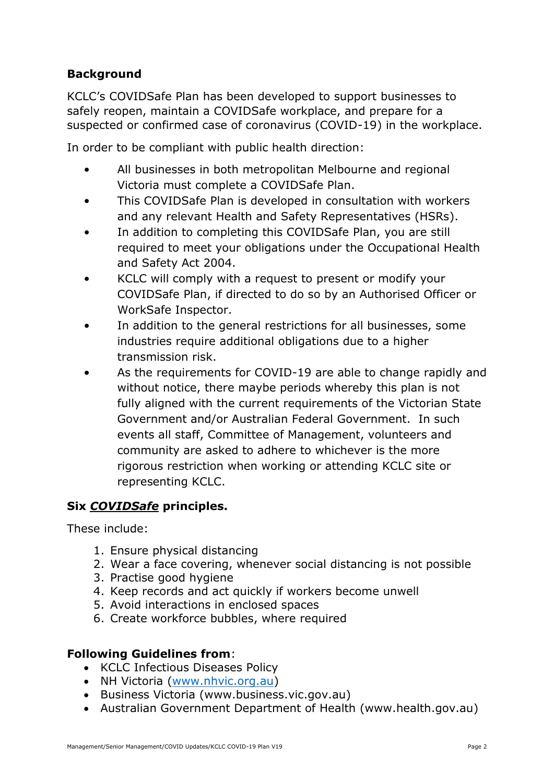# **Background**

KCLC's COVIDSafe Plan has been developed to support businesses to safely reopen, maintain a COVIDSafe workplace, and prepare for a suspected or confirmed case of coronavirus (COVID-19) in the workplace.

In order to be compliant with public health direction:

- All businesses in both metropolitan Melbourne and regional Victoria must complete a COVIDSafe Plan.
- This COVIDSafe Plan is developed in consultation with workers and any relevant Health and Safety Representatives (HSRs).
- In addition to completing this COVIDSafe Plan, you are still required to meet your obligations under the Occupational Health and Safety Act 2004.
- KCLC will comply with a request to present or modify your COVIDSafe Plan, if directed to do so by an Authorised Officer or WorkSafe Inspector.
- In addition to the general restrictions for all businesses, some industries require additional obligations due to a higher transmission risk.
- As the requirements for COVID-19 are able to change rapidly and without notice, there maybe periods whereby this plan is not fully aligned with the current requirements of the Victorian State Government and/or Australian Federal Government. In such events all staff, Committee of Management, volunteers and community are asked to adhere to whichever is the more rigorous restriction when working or attending KCLC site or representing KCLC.

## **Six** *COVIDSafe* **principles.**

These include:

- 1. Ensure physical distancing
- 2. Wear a face covering, whenever social distancing is not possible
- 3. Practise good hygiene
- 4. Keep records and act quickly if workers become unwell
- 5. Avoid interactions in enclosed spaces
- 6. Create workforce bubbles, where required

### **Following Guidelines from**:

- KCLC Infectious Diseases Policy
- NH Victoria [\(www.nhvic.org.au\)](http://www.nhvic.org.au/)
- Business Victoria (www.business.vic.gov.au)
- Australian Government Department of Health (www.health.gov.au)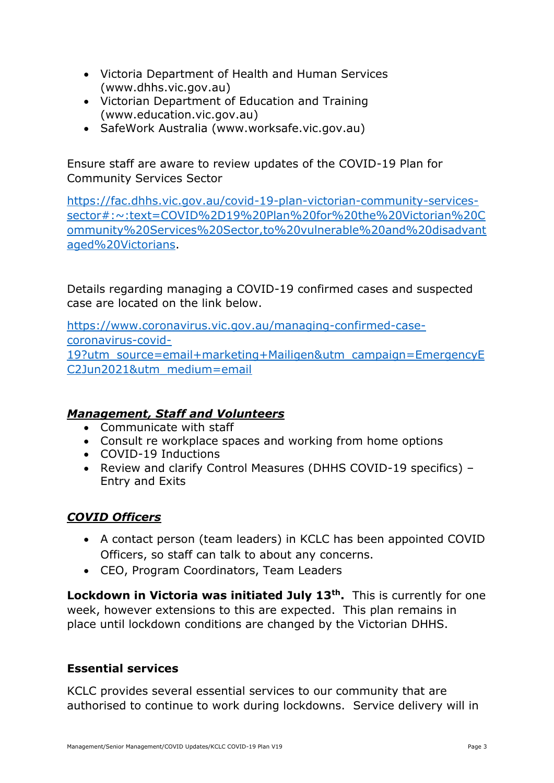- Victoria Department of Health and Human Services (www.dhhs.vic.gov.au)
- Victorian Department of Education and Training (www.education.vic.gov.au)
- SafeWork Australia (www.worksafe.vic.gov.au)

Ensure staff are aware to review updates of the COVID-19 Plan for Community Services Sector

[https://fac.dhhs.vic.gov.au/covid-19-plan-victorian-community-services](https://fac.dhhs.vic.gov.au/covid-19-plan-victorian-community-services-sector#:~:text=COVID%2D19%20Plan%20for%20the%20Victorian%20Community%20Services%20Sector,to%20vulnerable%20and%20disadvantaged%20Victorians)[sector#:~:text=COVID%2D19%20Plan%20for%20the%20Victorian%20C](https://fac.dhhs.vic.gov.au/covid-19-plan-victorian-community-services-sector#:~:text=COVID%2D19%20Plan%20for%20the%20Victorian%20Community%20Services%20Sector,to%20vulnerable%20and%20disadvantaged%20Victorians) [ommunity%20Services%20Sector,to%20vulnerable%20and%20disadvant](https://fac.dhhs.vic.gov.au/covid-19-plan-victorian-community-services-sector#:~:text=COVID%2D19%20Plan%20for%20the%20Victorian%20Community%20Services%20Sector,to%20vulnerable%20and%20disadvantaged%20Victorians) [aged%20Victorians.](https://fac.dhhs.vic.gov.au/covid-19-plan-victorian-community-services-sector#:~:text=COVID%2D19%20Plan%20for%20the%20Victorian%20Community%20Services%20Sector,to%20vulnerable%20and%20disadvantaged%20Victorians)

Details regarding managing a COVID-19 confirmed cases and suspected case are located on the link below.

[https://www.coronavirus.vic.gov.au/managing-confirmed-case](https://www.coronavirus.vic.gov.au/managing-confirmed-case-coronavirus-covid-19?utm_source=email+marketing+Mailigen&utm_campaign=EmergencyEC2Jun2021&utm_medium=email)[coronavirus-covid-](https://www.coronavirus.vic.gov.au/managing-confirmed-case-coronavirus-covid-19?utm_source=email+marketing+Mailigen&utm_campaign=EmergencyEC2Jun2021&utm_medium=email)[19?utm\\_source=email+marketing+Mailigen&utm\\_campaign=EmergencyE](https://www.coronavirus.vic.gov.au/managing-confirmed-case-coronavirus-covid-19?utm_source=email+marketing+Mailigen&utm_campaign=EmergencyEC2Jun2021&utm_medium=email) [C2Jun2021&utm\\_medium=email](https://www.coronavirus.vic.gov.au/managing-confirmed-case-coronavirus-covid-19?utm_source=email+marketing+Mailigen&utm_campaign=EmergencyEC2Jun2021&utm_medium=email)

# *Management, Staff and Volunteers*

- Communicate with staff
- Consult re workplace spaces and working from home options
- COVID-19 Inductions
- Review and clarify Control Measures (DHHS COVID-19 specifics) -Entry and Exits

# *COVID Officers*

- A contact person (team leaders) in KCLC has been appointed COVID Officers, so staff can talk to about any concerns.
- CEO, Program Coordinators, Team Leaders

**Lockdown in Victoria was initiated July 13th.** This is currently for one week, however extensions to this are expected. This plan remains in place until lockdown conditions are changed by the Victorian DHHS.

# **Essential services**

KCLC provides several essential services to our community that are authorised to continue to work during lockdowns. Service delivery will in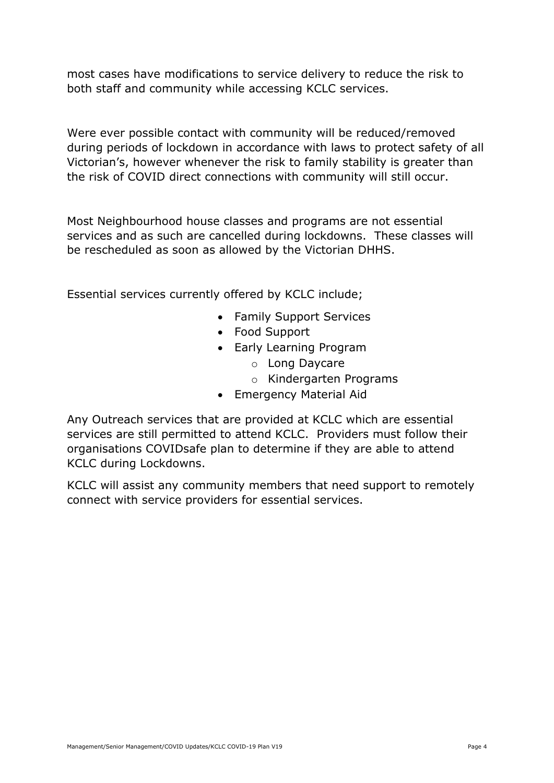most cases have modifications to service delivery to reduce the risk to both staff and community while accessing KCLC services.

Were ever possible contact with community will be reduced/removed during periods of lockdown in accordance with laws to protect safety of all Victorian's, however whenever the risk to family stability is greater than the risk of COVID direct connections with community will still occur.

Most Neighbourhood house classes and programs are not essential services and as such are cancelled during lockdowns. These classes will be rescheduled as soon as allowed by the Victorian DHHS.

Essential services currently offered by KCLC include;

- Family Support Services
- Food Support
- Early Learning Program
	- o Long Daycare
	- o Kindergarten Programs
- Emergency Material Aid

Any Outreach services that are provided at KCLC which are essential services are still permitted to attend KCLC. Providers must follow their organisations COVIDsafe plan to determine if they are able to attend KCLC during Lockdowns.

KCLC will assist any community members that need support to remotely connect with service providers for essential services.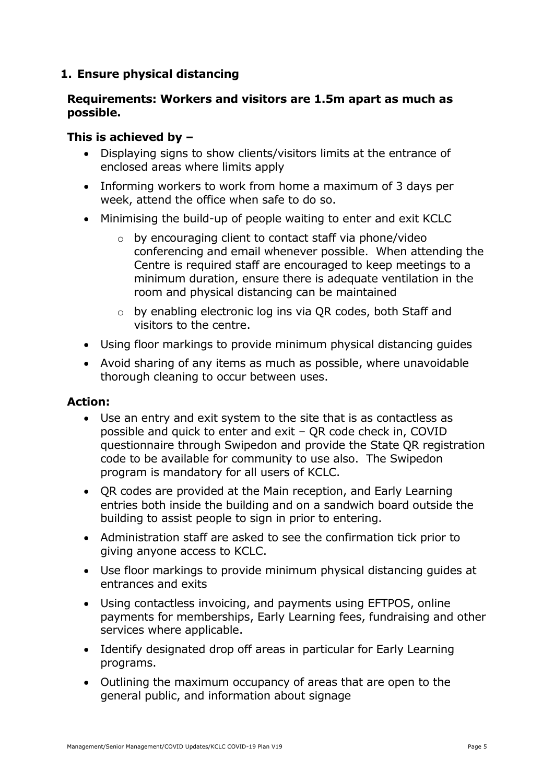## **1. Ensure physical distancing**

### **Requirements: Workers and visitors are 1.5m apart as much as possible.**

### **This is achieved by –**

- Displaying signs to show clients/visitors limits at the entrance of enclosed areas where limits apply
- Informing workers to work from home a maximum of 3 days per week, attend the office when safe to do so.
- Minimising the build-up of people waiting to enter and exit KCLC
	- o by encouraging client to contact staff via phone/video conferencing and email whenever possible. When attending the Centre is required staff are encouraged to keep meetings to a minimum duration, ensure there is adequate ventilation in the room and physical distancing can be maintained
	- o by enabling electronic log ins via QR codes, both Staff and visitors to the centre.
- Using floor markings to provide minimum physical distancing guides
- Avoid sharing of any items as much as possible, where unavoidable thorough cleaning to occur between uses.

#### **Action:**

- Use an entry and exit system to the site that is as contactless as possible and quick to enter and exit – QR code check in, COVID questionnaire through Swipedon and provide the State QR registration code to be available for community to use also. The Swipedon program is mandatory for all users of KCLC.
- QR codes are provided at the Main reception, and Early Learning entries both inside the building and on a sandwich board outside the building to assist people to sign in prior to entering.
- Administration staff are asked to see the confirmation tick prior to giving anyone access to KCLC.
- Use floor markings to provide minimum physical distancing guides at entrances and exits
- Using contactless invoicing, and payments using EFTPOS, online payments for memberships, Early Learning fees, fundraising and other services where applicable.
- Identify designated drop off areas in particular for Early Learning programs.
- Outlining the maximum occupancy of areas that are open to the general public, and information about signage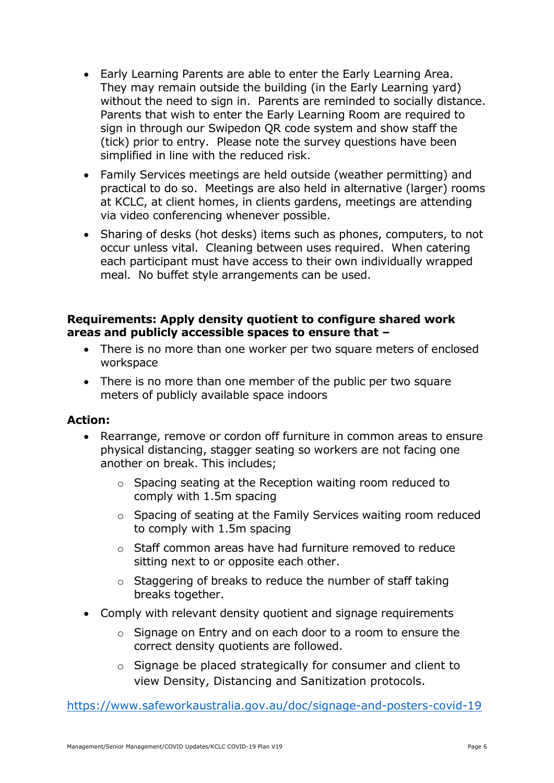- Early Learning Parents are able to enter the Early Learning Area. They may remain outside the building (in the Early Learning yard) without the need to sign in. Parents are reminded to socially distance. Parents that wish to enter the Early Learning Room are required to sign in through our Swipedon QR code system and show staff the (tick) prior to entry. Please note the survey questions have been simplified in line with the reduced risk.
- Family Services meetings are held outside (weather permitting) and practical to do so. Meetings are also held in alternative (larger) rooms at KCLC, at client homes, in clients gardens, meetings are attending via video conferencing whenever possible.
- Sharing of desks (hot desks) items such as phones, computers, to not occur unless vital. Cleaning between uses required. When catering each participant must have access to their own individually wrapped meal. No buffet style arrangements can be used.

## **Requirements: Apply density quotient to configure shared work areas and publicly accessible spaces to ensure that –**

- There is no more than one worker per two square meters of enclosed workspace
- There is no more than one member of the public per two square meters of publicly available space indoors

### **Action:**

- Rearrange, remove or cordon off furniture in common areas to ensure physical distancing, stagger seating so workers are not facing one another on break. This includes;
	- o Spacing seating at the Reception waiting room reduced to comply with 1.5m spacing
	- o Spacing of seating at the Family Services waiting room reduced to comply with 1.5m spacing
	- o Staff common areas have had furniture removed to reduce sitting next to or opposite each other.
	- o Staggering of breaks to reduce the number of staff taking breaks together.
- Comply with relevant density quotient and signage requirements
	- o Signage on Entry and on each door to a room to ensure the correct density quotients are followed.
	- o Signage be placed strategically for consumer and client to view Density, Distancing and Sanitization protocols.

<https://www.safeworkaustralia.gov.au/doc/signage-and-posters-covid-19>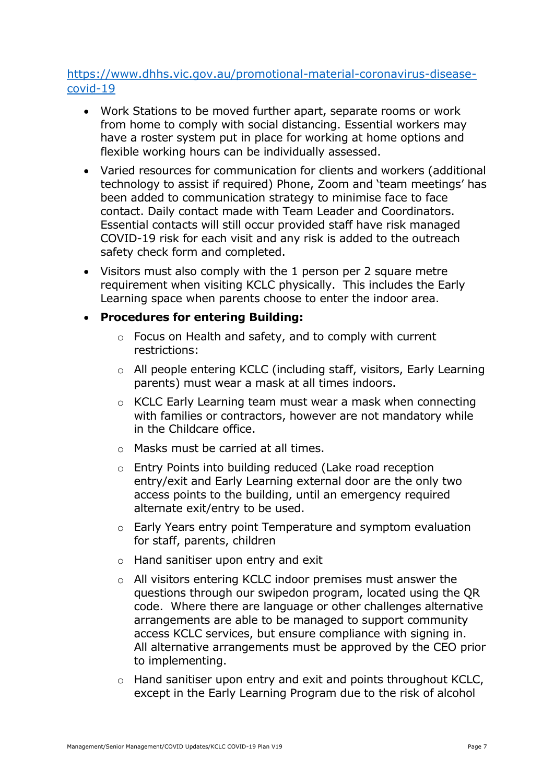## [https://www.dhhs.vic.gov.au/promotional-material-coronavirus-disease](https://www.dhhs.vic.gov.au/promotional-material-coronavirus-disease-covid-19)[covid-19](https://www.dhhs.vic.gov.au/promotional-material-coronavirus-disease-covid-19)

- Work Stations to be moved further apart, separate rooms or work from home to comply with social distancing. Essential workers may have a roster system put in place for working at home options and flexible working hours can be individually assessed.
- Varied resources for communication for clients and workers (additional technology to assist if required) Phone, Zoom and 'team meetings' has been added to communication strategy to minimise face to face contact. Daily contact made with Team Leader and Coordinators. Essential contacts will still occur provided staff have risk managed COVID-19 risk for each visit and any risk is added to the outreach safety check form and completed.
- Visitors must also comply with the 1 person per 2 square metre requirement when visiting KCLC physically. This includes the Early Learning space when parents choose to enter the indoor area.

### **Procedures for entering Building:**

- o Focus on Health and safety, and to comply with current restrictions:
- o All people entering KCLC (including staff, visitors, Early Learning parents) must wear a mask at all times indoors.
- o KCLC Early Learning team must wear a mask when connecting with families or contractors, however are not mandatory while in the Childcare office.
- o Masks must be carried at all times.
- o Entry Points into building reduced (Lake road reception entry/exit and Early Learning external door are the only two access points to the building, until an emergency required alternate exit/entry to be used.
- o Early Years entry point Temperature and symptom evaluation for staff, parents, children
- $\circ$  Hand sanitiser upon entry and exit
- o All visitors entering KCLC indoor premises must answer the questions through our swipedon program, located using the QR code. Where there are language or other challenges alternative arrangements are able to be managed to support community access KCLC services, but ensure compliance with signing in. All alternative arrangements must be approved by the CEO prior to implementing.
- o Hand sanitiser upon entry and exit and points throughout KCLC, except in the Early Learning Program due to the risk of alcohol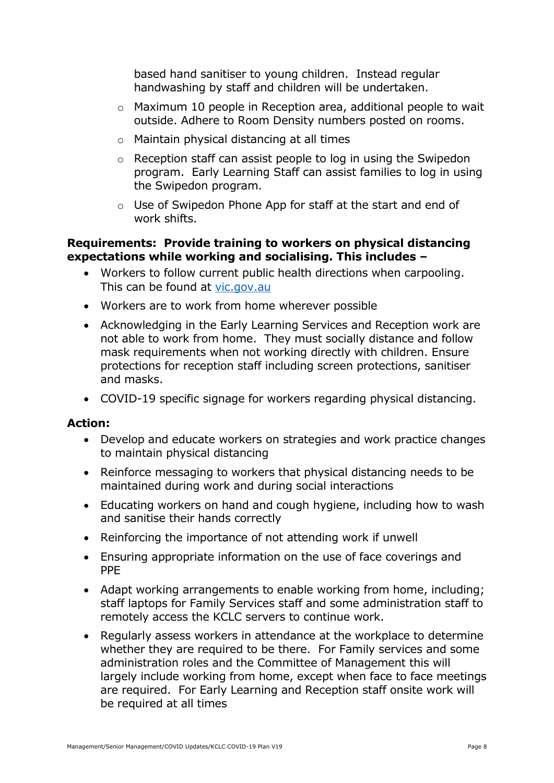based hand sanitiser to young children. Instead regular handwashing by staff and children will be undertaken.

- o Maximum 10 people in Reception area, additional people to wait outside. Adhere to Room Density numbers posted on rooms.
- o Maintain physical distancing at all times
- o Reception staff can assist people to log in using the Swipedon program. Early Learning Staff can assist families to log in using the Swipedon program.
- o Use of Swipedon Phone App for staff at the start and end of work shifts.

### **Requirements: Provide training to workers on physical distancing expectations while working and socialising. This includes –**

- Workers to follow current public health directions when carpooling. This can be found at [vic.gov.au](file:///C:/Users/jsavage/Downloads/vic.gov.au)
- Workers are to work from home wherever possible
- Acknowledging in the Early Learning Services and Reception work are not able to work from home. They must socially distance and follow mask requirements when not working directly with children. Ensure protections for reception staff including screen protections, sanitiser and masks.
- COVID-19 specific signage for workers regarding physical distancing.

#### **Action:**

- Develop and educate workers on strategies and work practice changes to maintain physical distancing
- Reinforce messaging to workers that physical distancing needs to be maintained during work and during social interactions
- Educating workers on hand and cough hygiene, including how to wash and sanitise their hands correctly
- Reinforcing the importance of not attending work if unwell
- Ensuring appropriate information on the use of face coverings and PPE
- Adapt working arrangements to enable working from home, including; staff laptops for Family Services staff and some administration staff to remotely access the KCLC servers to continue work.
- Regularly assess workers in attendance at the workplace to determine whether they are required to be there. For Family services and some administration roles and the Committee of Management this will largely include working from home, except when face to face meetings are required. For Early Learning and Reception staff onsite work will be required at all times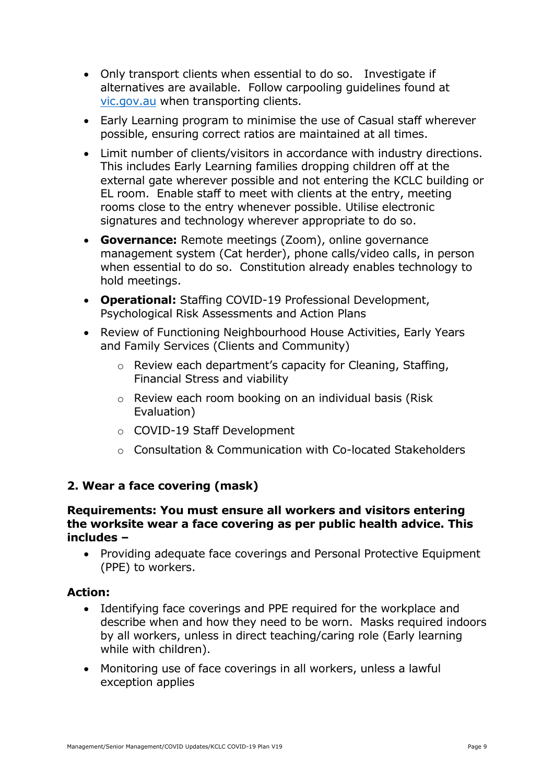- Only transport clients when essential to do so. Investigate if alternatives are available. Follow carpooling guidelines found at [vic.gov.au](file:///C:/Users/jsavage/Downloads/vic.gov.au) when transporting clients.
- Early Learning program to minimise the use of Casual staff wherever possible, ensuring correct ratios are maintained at all times.
- Limit number of clients/visitors in accordance with industry directions. This includes Early Learning families dropping children off at the external gate wherever possible and not entering the KCLC building or EL room. Enable staff to meet with clients at the entry, meeting rooms close to the entry whenever possible. Utilise electronic signatures and technology wherever appropriate to do so.
- **Governance:** Remote meetings (Zoom), online governance management system (Cat herder), phone calls/video calls, in person when essential to do so. Constitution already enables technology to hold meetings.
- **Operational:** Staffing COVID-19 Professional Development, Psychological Risk Assessments and Action Plans
- Review of Functioning Neighbourhood House Activities, Early Years and Family Services (Clients and Community)
	- o Review each department's capacity for Cleaning, Staffing, Financial Stress and viability
	- o Review each room booking on an individual basis (Risk Evaluation)
	- o COVID-19 Staff Development
	- o Consultation & Communication with Co-located Stakeholders

## **2. Wear a face covering (mask)**

#### **Requirements: You must ensure all workers and visitors entering the worksite wear a face covering as per public health advice. This includes –**

 Providing adequate face coverings and Personal Protective Equipment (PPE) to workers.

### **Action:**

- Identifying face coverings and PPE required for the workplace and describe when and how they need to be worn. Masks required indoors by all workers, unless in direct teaching/caring role (Early learning while with children).
- Monitoring use of face coverings in all workers, unless a lawful exception applies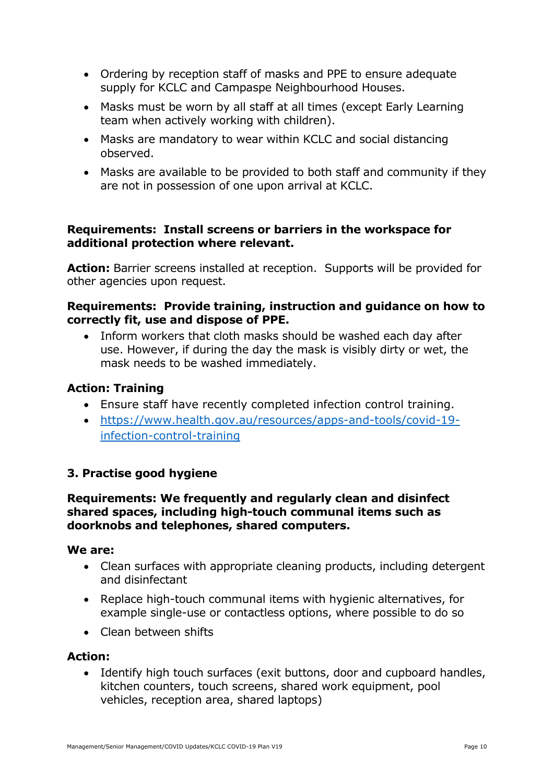- Ordering by reception staff of masks and PPE to ensure adequate supply for KCLC and Campaspe Neighbourhood Houses.
- Masks must be worn by all staff at all times (except Early Learning team when actively working with children).
- Masks are mandatory to wear within KCLC and social distancing observed.
- Masks are available to be provided to both staff and community if they are not in possession of one upon arrival at KCLC.

## **Requirements: Install screens or barriers in the workspace for additional protection where relevant.**

**Action:** Barrier screens installed at reception. Supports will be provided for other agencies upon request.

### **Requirements: Provide training, instruction and guidance on how to correctly fit, use and dispose of PPE.**

• Inform workers that cloth masks should be washed each day after use. However, if during the day the mask is visibly dirty or wet, the mask needs to be washed immediately.

## **Action: Training**

- Ensure staff have recently completed infection control training.
- [https://www.health.gov.au/resources/apps-and-tools/covid-19](https://www.health.gov.au/resources/apps-and-tools/covid-19-infection-control-training) [infection-control-training](https://www.health.gov.au/resources/apps-and-tools/covid-19-infection-control-training)

## **3. Practise good hygiene**

### **Requirements: We frequently and regularly clean and disinfect shared spaces, including high-touch communal items such as doorknobs and telephones, shared computers.**

### **We are:**

- Clean surfaces with appropriate cleaning products, including detergent and disinfectant
- Replace high-touch communal items with hygienic alternatives, for example single-use or contactless options, where possible to do so
- Clean between shifts

## **Action:**

• Identify high touch surfaces (exit buttons, door and cupboard handles, kitchen counters, touch screens, shared work equipment, pool vehicles, reception area, shared laptops)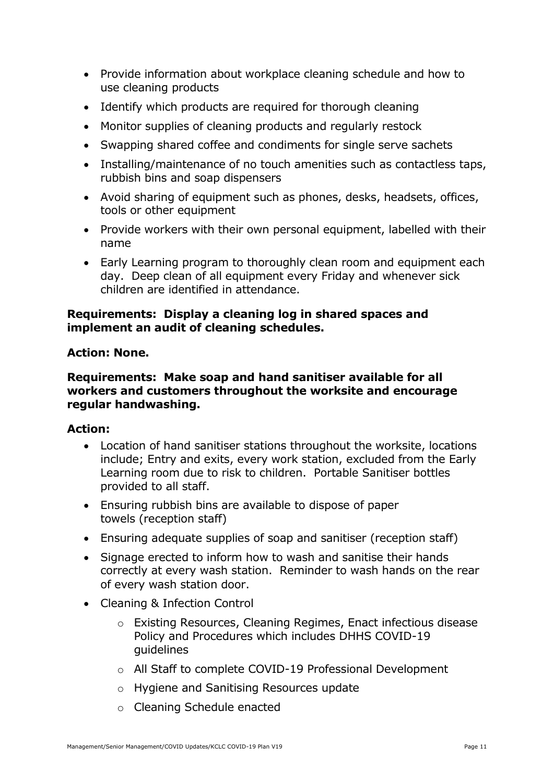- Provide information about workplace cleaning schedule and how to use cleaning products
- Identify which products are required for thorough cleaning
- Monitor supplies of cleaning products and regularly restock
- Swapping shared coffee and condiments for single serve sachets
- Installing/maintenance of no touch amenities such as contactless taps, rubbish bins and soap dispensers
- Avoid sharing of equipment such as phones, desks, headsets, offices, tools or other equipment
- Provide workers with their own personal equipment, labelled with their name
- Early Learning program to thoroughly clean room and equipment each day. Deep clean of all equipment every Friday and whenever sick children are identified in attendance.

### **Requirements: Display a cleaning log in shared spaces and implement an audit of cleaning schedules.**

#### **Action: None.**

### **Requirements: Make soap and hand sanitiser available for all workers and customers throughout the worksite and encourage regular handwashing.**

#### **Action:**

- Location of hand sanitiser stations throughout the worksite, locations include; Entry and exits, every work station, excluded from the Early Learning room due to risk to children. Portable Sanitiser bottles provided to all staff.
- Ensuring rubbish bins are available to dispose of paper towels (reception staff)
- Ensuring adequate supplies of soap and sanitiser (reception staff)
- Signage erected to inform how to wash and sanitise their hands correctly at every wash station. Reminder to wash hands on the rear of every wash station door.
- Cleaning & Infection Control
	- o Existing Resources, Cleaning Regimes, Enact infectious disease Policy and Procedures which includes DHHS COVID-19 guidelines
	- o All Staff to complete COVID-19 Professional Development
	- o Hygiene and Sanitising Resources update
	- o Cleaning Schedule enacted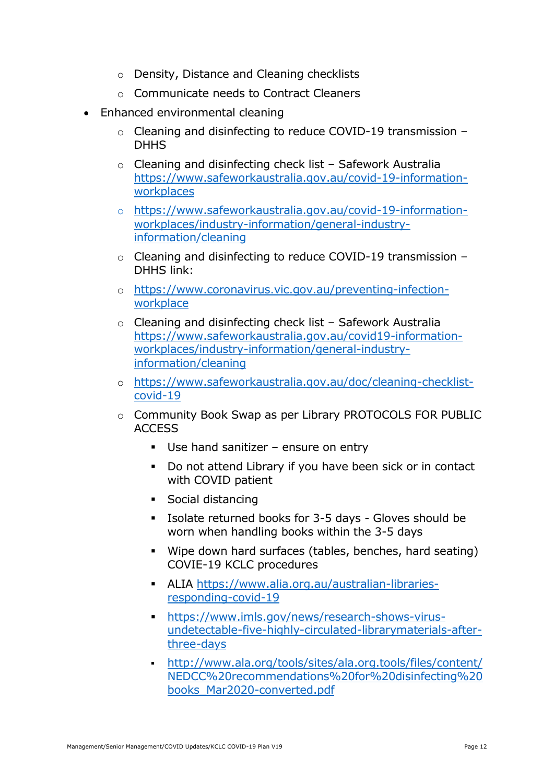- o Density, Distance and Cleaning checklists
- o Communicate needs to Contract Cleaners
- Enhanced environmental cleaning
	- o Cleaning and disinfecting to reduce COVID-19 transmission **DHHS**
	- o Cleaning and disinfecting check list Safework Australia [https://www.safeworkaustralia.gov.au/covid-19-information](https://www.safeworkaustralia.gov.au/covid-19-information-workplaces)[workplaces](https://www.safeworkaustralia.gov.au/covid-19-information-workplaces)
	- o [https://www.safeworkaustralia.gov.au/covid-19-information](https://www.safeworkaustralia.gov.au/covid-19-information-workplaces/industry-information/general-industry-information/cleaning)[workplaces/industry-information/general-industry](https://www.safeworkaustralia.gov.au/covid-19-information-workplaces/industry-information/general-industry-information/cleaning)[information/cleaning](https://www.safeworkaustralia.gov.au/covid-19-information-workplaces/industry-information/general-industry-information/cleaning)
	- o Cleaning and disinfecting to reduce COVID-19 transmission DHHS link:
	- o [https://www.coronavirus.vic.gov.au/preventing-infection](https://www.coronavirus.vic.gov.au/preventing-infection-workplace)[workplace](https://www.coronavirus.vic.gov.au/preventing-infection-workplace)
	- o Cleaning and disinfecting check list Safework Australia [https://www.safeworkaustralia.gov.au/covid19-information](https://www.safeworkaustralia.gov.au/covid19-information-workplaces/industry-information/general-industry-information/cleaning)[workplaces/industry-information/general-industry](https://www.safeworkaustralia.gov.au/covid19-information-workplaces/industry-information/general-industry-information/cleaning)[information/cleaning](https://www.safeworkaustralia.gov.au/covid19-information-workplaces/industry-information/general-industry-information/cleaning)
	- o [https://www.safeworkaustralia.gov.au/doc/cleaning-checklist](https://www.safeworkaustralia.gov.au/doc/cleaning-checklist-covid-19)[covid-19](https://www.safeworkaustralia.gov.au/doc/cleaning-checklist-covid-19)
	- o Community Book Swap as per Library PROTOCOLS FOR PUBLIC ACCESS
		- Use hand sanitizer ensure on entry
		- Do not attend Library if you have been sick or in contact with COVID patient
		- Social distancing
		- Isolate returned books for 3-5 days Gloves should be worn when handling books within the 3-5 days
		- Wipe down hard surfaces (tables, benches, hard seating) COVIE-19 KCLC procedures
		- ALIA [https://www.alia.org.au/australian-libraries](https://www.alia.org.au/australian-libraries-responding-covid-19)[responding-covid-19](https://www.alia.org.au/australian-libraries-responding-covid-19)
		- [https://www.imls.gov/news/research-shows-virus](https://www.imls.gov/news/research-shows-virus-undetectable-five-highly-circulated-librarymaterials-after-three-days)[undetectable-five-highly-circulated-librarymaterials-after](https://www.imls.gov/news/research-shows-virus-undetectable-five-highly-circulated-librarymaterials-after-three-days)[three-days](https://www.imls.gov/news/research-shows-virus-undetectable-five-highly-circulated-librarymaterials-after-three-days)
		- [http://www.ala.org/tools/sites/ala.org.tools/files/content/](http://www.ala.org/tools/sites/ala.org.tools/files/content/NEDCC%20recommendations%20for%20disinfecting%20books_Mar2020-converted.pdf) [NEDCC%20recommendations%20for%20disinfecting%20](http://www.ala.org/tools/sites/ala.org.tools/files/content/NEDCC%20recommendations%20for%20disinfecting%20books_Mar2020-converted.pdf) [books\\_Mar2020-converted.pdf](http://www.ala.org/tools/sites/ala.org.tools/files/content/NEDCC%20recommendations%20for%20disinfecting%20books_Mar2020-converted.pdf)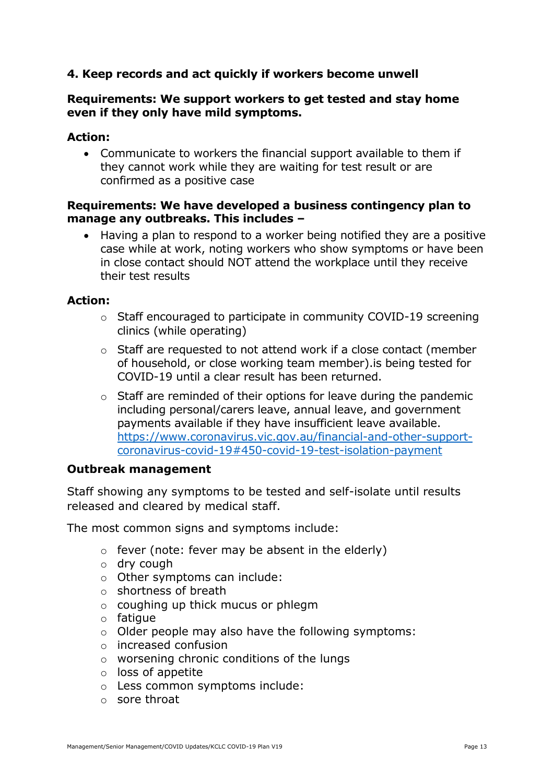## **4. Keep records and act quickly if workers become unwell**

#### **Requirements: We support workers to get tested and stay home even if they only have mild symptoms.**

### **Action:**

 Communicate to workers the financial support available to them if they cannot work while they are waiting for test result or are confirmed as a positive case

### **Requirements: We have developed a business contingency plan to manage any outbreaks. This includes –**

• Having a plan to respond to a worker being notified they are a positive case while at work, noting workers who show symptoms or have been in close contact should NOT attend the workplace until they receive their test results

#### **Action:**

- o Staff encouraged to participate in community COVID-19 screening clinics (while operating)
- o Staff are requested to not attend work if a close contact (member of household, or close working team member).is being tested for COVID-19 until a clear result has been returned.
- o Staff are reminded of their options for leave during the pandemic including personal/carers leave, annual leave, and government payments available if they have insufficient leave available. [https://www.coronavirus.vic.gov.au/financial-and-other-support](https://www.coronavirus.vic.gov.au/financial-and-other-support-coronavirus-covid-19#450-covid-19-test-isolation-payment)[coronavirus-covid-19#450-covid-19-test-isolation-payment](https://www.coronavirus.vic.gov.au/financial-and-other-support-coronavirus-covid-19#450-covid-19-test-isolation-payment)

#### **Outbreak management**

Staff showing any symptoms to be tested and self-isolate until results released and cleared by medical staff.

The most common signs and symptoms include:

- $\circ$  fever (note: fever may be absent in the elderly)
- o dry cough
- o Other symptoms can include:
- o shortness of breath
- o coughing up thick mucus or phlegm
- $\circ$  fatigue
- o Older people may also have the following symptoms:
- o increased confusion
- o worsening chronic conditions of the lungs
- o loss of appetite
- o Less common symptoms include:
- o sore throat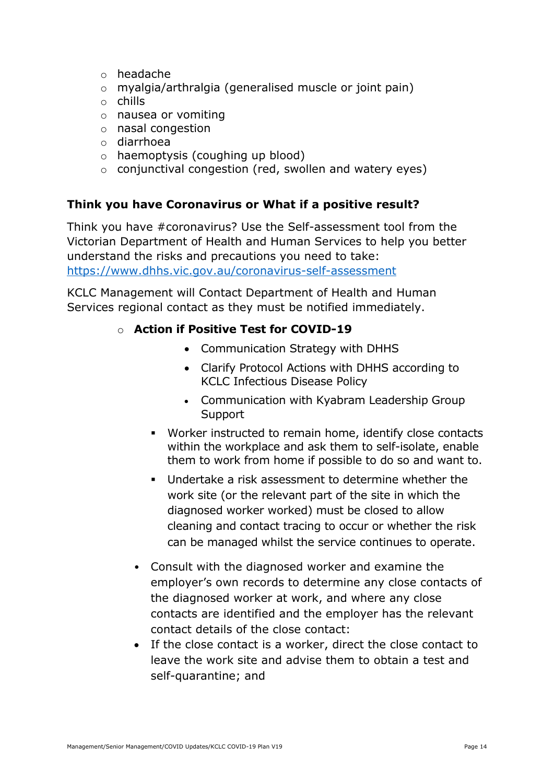- o headache
- o myalgia/arthralgia (generalised muscle or joint pain)
- o chills
- o nausea or vomiting
- o nasal congestion
- o diarrhoea
- o haemoptysis (coughing up blood)
- $\circ$  conjunctival congestion (red, swollen and watery eyes)

## **Think you have Coronavirus or What if a positive result?**

Think you have #coronavirus? Use the Self-assessment tool from the Victorian Department of Health and Human Services to help you better understand the risks and precautions you need to take: <https://www.dhhs.vic.gov.au/coronavirus-self-assessment>

KCLC Management will Contact Department of Health and Human Services regional contact as they must be notified immediately.

## o **Action if Positive Test for COVID-19**

- Communication Strategy with DHHS
- Clarify Protocol Actions with DHHS according to KCLC Infectious Disease Policy
- Communication with Kyabram Leadership Group Support
- Worker instructed to remain home, identify close contacts within the workplace and ask them to self-isolate, enable them to work from home if possible to do so and want to.
- Undertake a risk assessment to determine whether the work site (or the relevant part of the site in which the diagnosed worker worked) must be closed to allow cleaning and contact tracing to occur or whether the risk can be managed whilst the service continues to operate.
- Consult with the diagnosed worker and examine the employer's own records to determine any close contacts of the diagnosed worker at work, and where any close contacts are identified and the employer has the relevant contact details of the close contact:
- If the close contact is a worker, direct the close contact to leave the work site and advise them to obtain a test and self-quarantine; and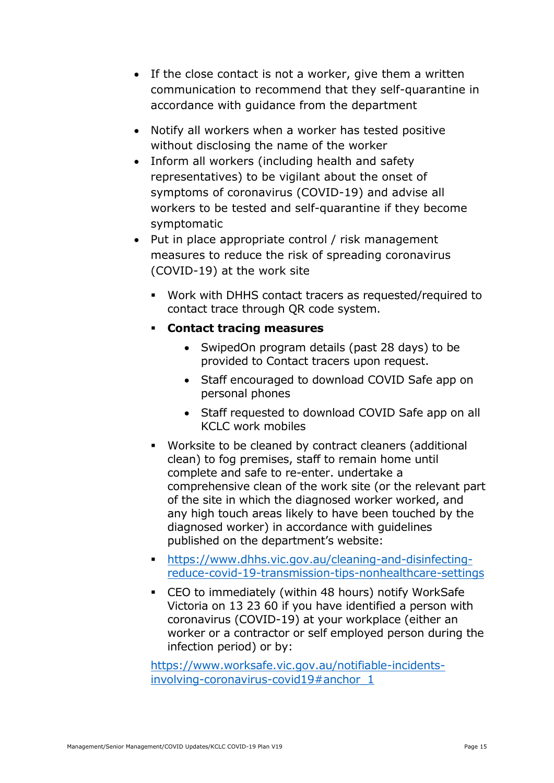- If the close contact is not a worker, give them a written communication to recommend that they self-quarantine in accordance with guidance from the department
- Notify all workers when a worker has tested positive without disclosing the name of the worker
- Inform all workers (including health and safety representatives) to be vigilant about the onset of symptoms of coronavirus (COVID-19) and advise all workers to be tested and self-quarantine if they become symptomatic
- Put in place appropriate control / risk management measures to reduce the risk of spreading coronavirus (COVID-19) at the work site
	- Work with DHHS contact tracers as requested/required to contact trace through QR code system.
	- **Contact tracing measures**
		- SwipedOn program details (past 28 days) to be provided to Contact tracers upon request.
		- Staff encouraged to download COVID Safe app on personal phones
		- Staff requested to download COVID Safe app on all KCLC work mobiles
	- Worksite to be cleaned by contract cleaners (additional clean) to fog premises, staff to remain home until complete and safe to re-enter. undertake a comprehensive clean of the work site (or the relevant part of the site in which the diagnosed worker worked, and any high touch areas likely to have been touched by the diagnosed worker) in accordance with guidelines published on the department's website:
	- [https://www.dhhs.vic.gov.au/cleaning-and-disinfecting](https://www.dhhs.vic.gov.au/cleaning-and-disinfecting-reduce-covid-19-transmission-tips-nonhealthcare-settings)[reduce-covid-19-transmission-tips-nonhealthcare-settings](https://www.dhhs.vic.gov.au/cleaning-and-disinfecting-reduce-covid-19-transmission-tips-nonhealthcare-settings)
	- CEO to immediately (within 48 hours) notify WorkSafe Victoria on 13 23 60 if you have identified a person with coronavirus (COVID-19) at your workplace (either an worker or a contractor or self employed person during the infection period) or by:

[https://www.worksafe.vic.gov.au/notifiable-incidents](https://www.worksafe.vic.gov.au/notifiable-incidents-involving-coronavirus-covid19#anchor_1)[involving-coronavirus-covid19#anchor\\_1](https://www.worksafe.vic.gov.au/notifiable-incidents-involving-coronavirus-covid19#anchor_1)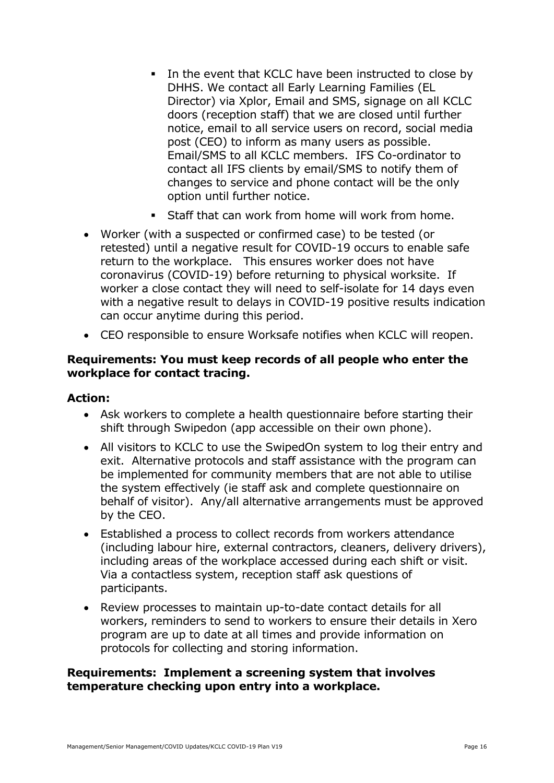- In the event that KCLC have been instructed to close by DHHS. We contact all Early Learning Families (EL Director) via Xplor, Email and SMS, signage on all KCLC doors (reception staff) that we are closed until further notice, email to all service users on record, social media post (CEO) to inform as many users as possible. Email/SMS to all KCLC members. IFS Co-ordinator to contact all IFS clients by email/SMS to notify them of changes to service and phone contact will be the only option until further notice.
- **Staff that can work from home will work from home.**
- Worker (with a suspected or confirmed case) to be tested (or retested) until a negative result for COVID-19 occurs to enable safe return to the workplace. This ensures worker does not have coronavirus (COVID-19) before returning to physical worksite. If worker a close contact they will need to self-isolate for 14 days even with a negative result to delays in COVID-19 positive results indication can occur anytime during this period.
- CEO responsible to ensure Worksafe notifies when KCLC will reopen.

### **Requirements: You must keep records of all people who enter the workplace for contact tracing.**

### **Action:**

- Ask workers to complete a health questionnaire before starting their shift through Swipedon (app accessible on their own phone).
- All visitors to KCLC to use the SwipedOn system to log their entry and exit. Alternative protocols and staff assistance with the program can be implemented for community members that are not able to utilise the system effectively (ie staff ask and complete questionnaire on behalf of visitor). Any/all alternative arrangements must be approved by the CEO.
- Established a process to collect records from workers attendance (including labour hire, external contractors, cleaners, delivery drivers), including areas of the workplace accessed during each shift or visit. Via a contactless system, reception staff ask questions of participants.
- Review processes to maintain up-to-date contact details for all workers, reminders to send to workers to ensure their details in Xero program are up to date at all times and provide information on protocols for collecting and storing information.

#### **Requirements: Implement a screening system that involves temperature checking upon entry into a workplace.**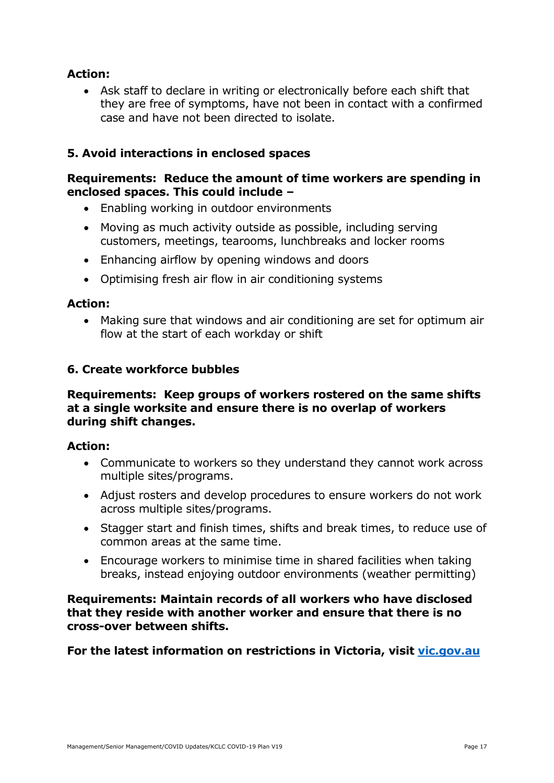## **Action:**

 Ask staff to declare in writing or electronically before each shift that they are free of symptoms, have not been in contact with a confirmed case and have not been directed to isolate.

## **5. Avoid interactions in enclosed spaces**

### **Requirements: Reduce the amount of time workers are spending in enclosed spaces. This could include –**

- Enabling working in outdoor environments
- Moving as much activity outside as possible, including serving customers, meetings, tearooms, lunchbreaks and locker rooms
- Enhancing airflow by opening windows and doors
- Optimising fresh air flow in air conditioning systems

#### **Action:**

 Making sure that windows and air conditioning are set for optimum air flow at the start of each workday or shift

### **6. Create workforce bubbles**

#### **Requirements: Keep groups of workers rostered on the same shifts at a single worksite and ensure there is no overlap of workers during shift changes.**

#### **Action:**

- Communicate to workers so they understand they cannot work across multiple sites/programs.
- Adjust rosters and develop procedures to ensure workers do not work across multiple sites/programs.
- Stagger start and finish times, shifts and break times, to reduce use of common areas at the same time.
- Encourage workers to minimise time in shared facilities when taking breaks, instead enjoying outdoor environments (weather permitting)

#### **Requirements: Maintain records of all workers who have disclosed that they reside with another worker and ensure that there is no cross-over between shifts.**

**For the latest information on restrictions in Victoria, visit vic.gov.au**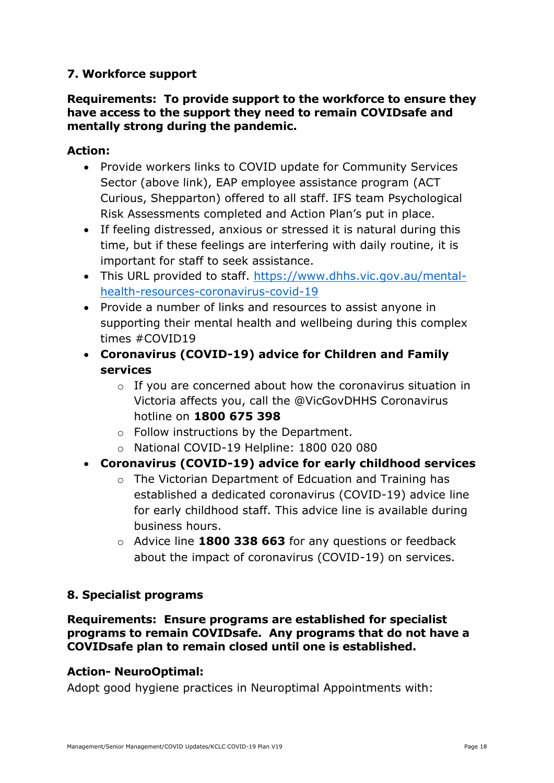## **7. Workforce support**

### **Requirements: To provide support to the workforce to ensure they have access to the support they need to remain COVIDsafe and mentally strong during the pandemic.**

## **Action:**

- Provide workers links to COVID update for Community Services Sector (above link), EAP employee assistance program (ACT Curious, Shepparton) offered to all staff. IFS team Psychological Risk Assessments completed and Action Plan's put in place.
- If feeling distressed, anxious or stressed it is natural during this time, but if these feelings are interfering with daily routine, it is important for staff to seek assistance.
- This URL provided to staff. [https://www.dhhs.vic.gov.au/mental](https://www.dhhs.vic.gov.au/mental-health-resources-coronavirus-covid-19)[health-resources-coronavirus-covid-19](https://www.dhhs.vic.gov.au/mental-health-resources-coronavirus-covid-19)
- Provide a number of links and resources to assist anyone in supporting their mental health and wellbeing during this complex times #COVID19
- **Coronavirus (COVID-19) advice for Children and Family services**
	- o If you are concerned about how the coronavirus situation in Victoria affects you, call the @VicGovDHHS Coronavirus hotline on **1800 675 398**
	- o Follow instructions by the Department.
	- o National COVID-19 Helpline: 1800 020 080
- **Coronavirus (COVID-19) advice for early childhood services**
	- o The Victorian Department of Edcuation and Training has established a dedicated coronavirus (COVID-19) advice line for early childhood staff. This advice line is available during business hours.
	- o Advice line **1800 338 663** for any questions or feedback about the impact of coronavirus (COVID-19) on services.

## **8. Specialist programs**

**Requirements: Ensure programs are established for specialist programs to remain COVIDsafe. Any programs that do not have a COVIDsafe plan to remain closed until one is established.**

## **Action- NeuroOptimal:**

Adopt good hygiene practices in Neuroptimal Appointments with: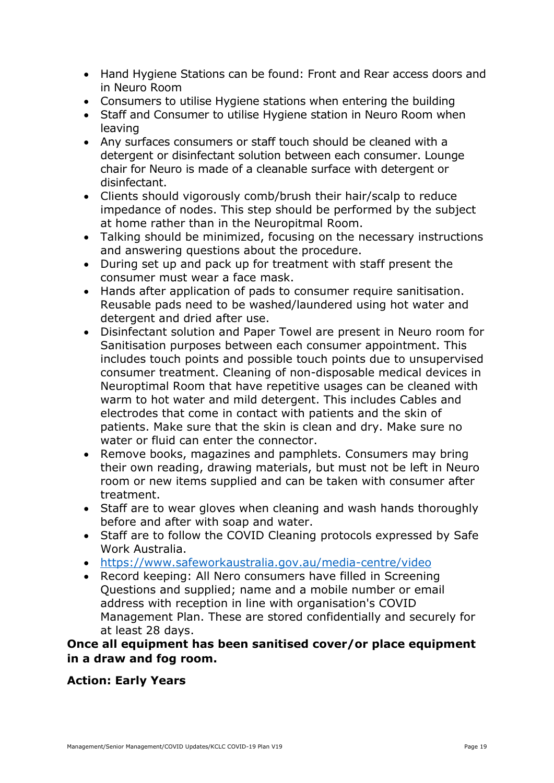- Hand Hygiene Stations can be found: Front and Rear access doors and in Neuro Room
- Consumers to utilise Hygiene stations when entering the building
- Staff and Consumer to utilise Hygiene station in Neuro Room when leaving
- Any surfaces consumers or staff touch should be cleaned with a detergent or disinfectant solution between each consumer. Lounge chair for Neuro is made of a cleanable surface with detergent or disinfectant.
- Clients should vigorously comb/brush their hair/scalp to reduce impedance of nodes. This step should be performed by the subject at home rather than in the Neuropitmal Room.
- Talking should be minimized, focusing on the necessary instructions and answering questions about the procedure.
- During set up and pack up for treatment with staff present the consumer must wear a face mask.
- Hands after application of pads to consumer require sanitisation. Reusable pads need to be washed/laundered using hot water and detergent and dried after use.
- Disinfectant solution and Paper Towel are present in Neuro room for Sanitisation purposes between each consumer appointment. This includes touch points and possible touch points due to unsupervised consumer treatment. Cleaning of non-disposable medical devices in Neuroptimal Room that have repetitive usages can be cleaned with warm to hot water and mild detergent. This includes Cables and electrodes that come in contact with patients and the skin of patients. Make sure that the skin is clean and dry. Make sure no water or fluid can enter the connector.
- Remove books, magazines and pamphlets. Consumers may bring their own reading, drawing materials, but must not be left in Neuro room or new items supplied and can be taken with consumer after treatment.
- Staff are to wear gloves when cleaning and wash hands thoroughly before and after with soap and water.
- Staff are to follow the COVID Cleaning protocols expressed by Safe Work Australia.
- <https://www.safeworkaustralia.gov.au/media-centre/video>
- Record keeping: All Nero consumers have filled in Screening Questions and supplied; name and a mobile number or email address with reception in line with organisation's COVID Management Plan. These are stored confidentially and securely for at least 28 days.

**Once all equipment has been sanitised cover/or place equipment in a draw and fog room.** 

## **Action: Early Years**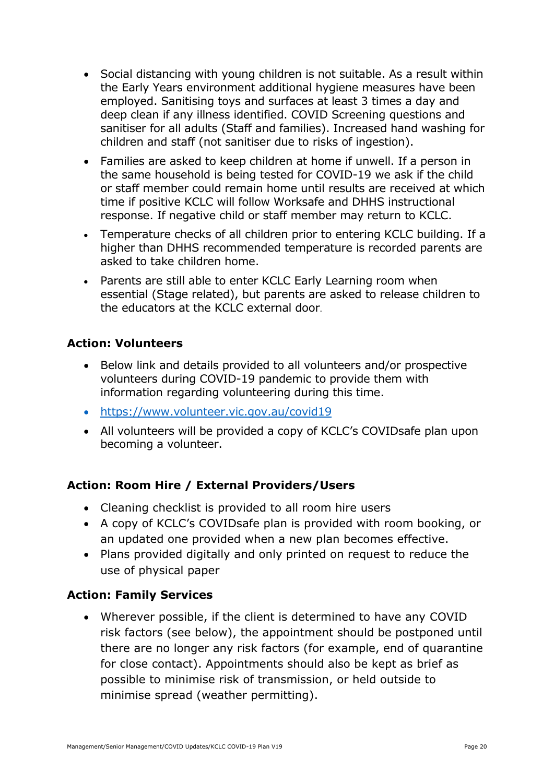- Social distancing with young children is not suitable. As a result within the Early Years environment additional hygiene measures have been employed. Sanitising toys and surfaces at least 3 times a day and deep clean if any illness identified. COVID Screening questions and sanitiser for all adults (Staff and families). Increased hand washing for children and staff (not sanitiser due to risks of ingestion).
- Families are asked to keep children at home if unwell. If a person in the same household is being tested for COVID-19 we ask if the child or staff member could remain home until results are received at which time if positive KCLC will follow Worksafe and DHHS instructional response. If negative child or staff member may return to KCLC.
- Temperature checks of all children prior to entering KCLC building. If a higher than DHHS recommended temperature is recorded parents are asked to take children home.
- Parents are still able to enter KCLC Early Learning room when essential (Stage related), but parents are asked to release children to the educators at the KCLC external door.

## **Action: Volunteers**

- Below link and details provided to all volunteers and/or prospective volunteers during COVID-19 pandemic to provide them with information regarding volunteering during this time.
- <https://www.volunteer.vic.gov.au/covid19>
- All volunteers will be provided a copy of KCLC's COVIDsafe plan upon becoming a volunteer.

## **Action: Room Hire / External Providers/Users**

- Cleaning checklist is provided to all room hire users
- A copy of KCLC's COVIDsafe plan is provided with room booking, or an updated one provided when a new plan becomes effective.
- Plans provided digitally and only printed on request to reduce the use of physical paper

### **Action: Family Services**

 Wherever possible, if the client is determined to have any COVID risk factors (see below), the appointment should be postponed until there are no longer any risk factors (for example, end of quarantine for close contact). Appointments should also be kept as brief as possible to minimise risk of transmission, or held outside to minimise spread (weather permitting).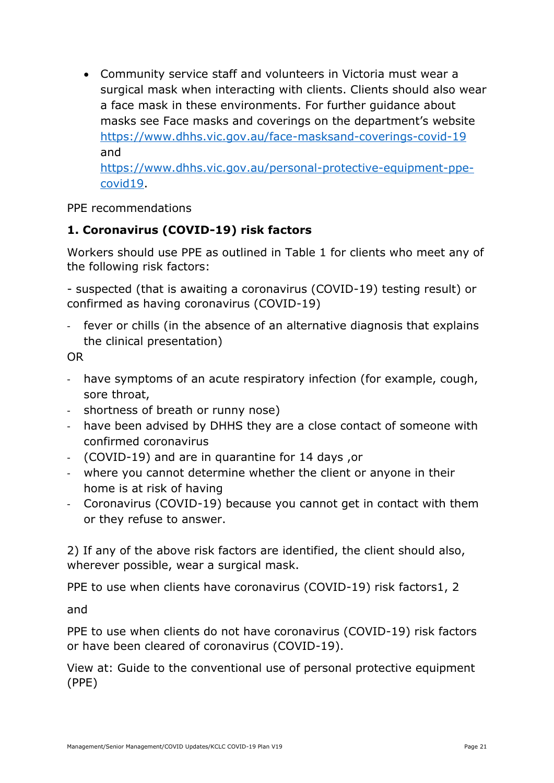Community service staff and volunteers in Victoria must wear a surgical mask when interacting with clients. Clients should also wear a face mask in these environments. For further guidance about masks see Face masks and coverings on the department's website <https://www.dhhs.vic.gov.au/face-masksand-coverings-covid-19> and [https://www.dhhs.vic.gov.au/personal-protective-equipment-ppe](https://www.dhhs.vic.gov.au/personal-protective-equipment-ppe-covid19)[covid19.](https://www.dhhs.vic.gov.au/personal-protective-equipment-ppe-covid19)

PPE recommendations

# **1. Coronavirus (COVID-19) risk factors**

Workers should use PPE as outlined in Table 1 for clients who meet any of the following risk factors:

- suspected (that is awaiting a coronavirus (COVID-19) testing result) or confirmed as having coronavirus (COVID-19)

- fever or chills (in the absence of an alternative diagnosis that explains the clinical presentation)

OR

- have symptoms of an acute respiratory infection (for example, cough, sore throat,
- shortness of breath or runny nose)
- have been advised by DHHS they are a close contact of someone with confirmed coronavirus
- (COVID-19) and are in quarantine for 14 days ,or
- where you cannot determine whether the client or anyone in their home is at risk of having
- Coronavirus (COVID-19) because you cannot get in contact with them or they refuse to answer.

2) If any of the above risk factors are identified, the client should also, wherever possible, wear a surgical mask.

PPE to use when clients have coronavirus (COVID-19) risk factors1, 2

and

PPE to use when clients do not have coronavirus (COVID-19) risk factors or have been cleared of coronavirus (COVID-19).

View at: Guide to the conventional use of personal protective equipment (PPE)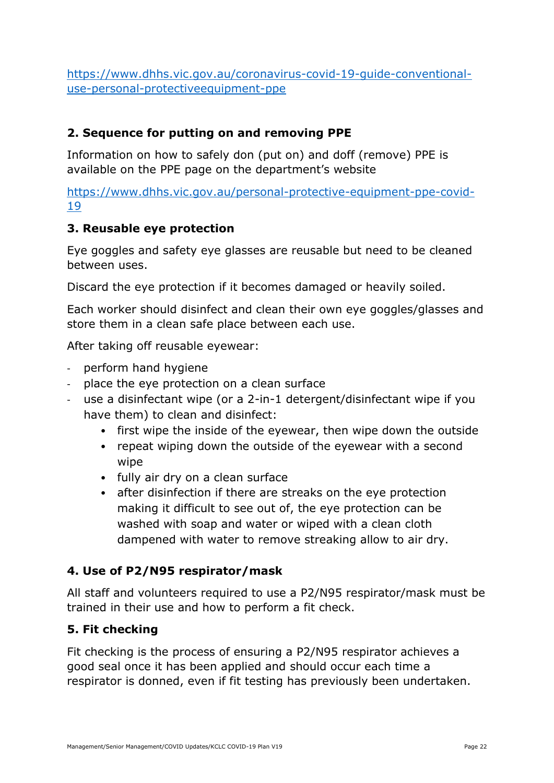[https://www.dhhs.vic.gov.au/coronavirus-covid-19-guide-conventional](https://www.dhhs.vic.gov.au/coronavirus-covid-19-guide-conventional-use-personal-protectiveequipment-ppe)[use-personal-protectiveequipment-ppe](https://www.dhhs.vic.gov.au/coronavirus-covid-19-guide-conventional-use-personal-protectiveequipment-ppe)

## **2. Sequence for putting on and removing PPE**

Information on how to safely don (put on) and doff (remove) PPE is available on the PPE page on the department's website

[https://www.dhhs.vic.gov.au/personal-protective-equipment-ppe-covid-](https://www.dhhs.vic.gov.au/personal-protective-equipment-ppe-covid-19)[19](https://www.dhhs.vic.gov.au/personal-protective-equipment-ppe-covid-19)

## **3. Reusable eye protection**

Eye goggles and safety eye glasses are reusable but need to be cleaned between uses.

Discard the eye protection if it becomes damaged or heavily soiled.

Each worker should disinfect and clean their own eye goggles/glasses and store them in a clean safe place between each use.

After taking off reusable eyewear:

- perform hand hygiene
- place the eye protection on a clean surface
- use a disinfectant wipe (or a 2-in-1 detergent/disinfectant wipe if you have them) to clean and disinfect:
	- first wipe the inside of the eyewear, then wipe down the outside
	- repeat wiping down the outside of the eyewear with a second wipe
	- fully air dry on a clean surface
	- after disinfection if there are streaks on the eye protection making it difficult to see out of, the eye protection can be washed with soap and water or wiped with a clean cloth dampened with water to remove streaking allow to air dry.

## **4. Use of P2/N95 respirator/mask**

All staff and volunteers required to use a P2/N95 respirator/mask must be trained in their use and how to perform a fit check.

## **5. Fit checking**

Fit checking is the process of ensuring a P2/N95 respirator achieves a good seal once it has been applied and should occur each time a respirator is donned, even if fit testing has previously been undertaken.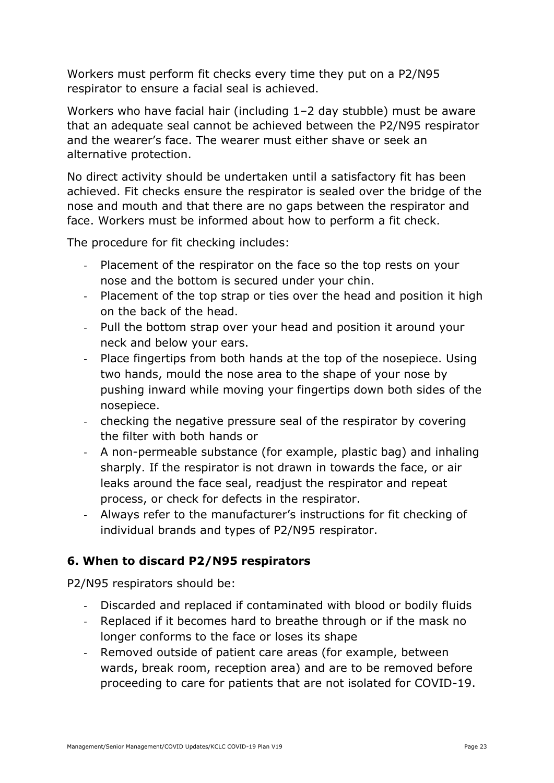Workers must perform fit checks every time they put on a P2/N95 respirator to ensure a facial seal is achieved.

Workers who have facial hair (including 1–2 day stubble) must be aware that an adequate seal cannot be achieved between the P2/N95 respirator and the wearer's face. The wearer must either shave or seek an alternative protection.

No direct activity should be undertaken until a satisfactory fit has been achieved. Fit checks ensure the respirator is sealed over the bridge of the nose and mouth and that there are no gaps between the respirator and face. Workers must be informed about how to perform a fit check.

The procedure for fit checking includes:

- Placement of the respirator on the face so the top rests on your nose and the bottom is secured under your chin.
- Placement of the top strap or ties over the head and position it high on the back of the head.
- Pull the bottom strap over your head and position it around your neck and below your ears.
- Place fingertips from both hands at the top of the nosepiece. Using two hands, mould the nose area to the shape of your nose by pushing inward while moving your fingertips down both sides of the nosepiece.
- checking the negative pressure seal of the respirator by covering the filter with both hands or
- A non-permeable substance (for example, plastic bag) and inhaling sharply. If the respirator is not drawn in towards the face, or air leaks around the face seal, readjust the respirator and repeat process, or check for defects in the respirator.
- Always refer to the manufacturer's instructions for fit checking of individual brands and types of P2/N95 respirator.

# **6. When to discard P2/N95 respirators**

P2/N95 respirators should be:

- Discarded and replaced if contaminated with blood or bodily fluids
- Replaced if it becomes hard to breathe through or if the mask no longer conforms to the face or loses its shape
- Removed outside of patient care areas (for example, between wards, break room, reception area) and are to be removed before proceeding to care for patients that are not isolated for COVID-19.